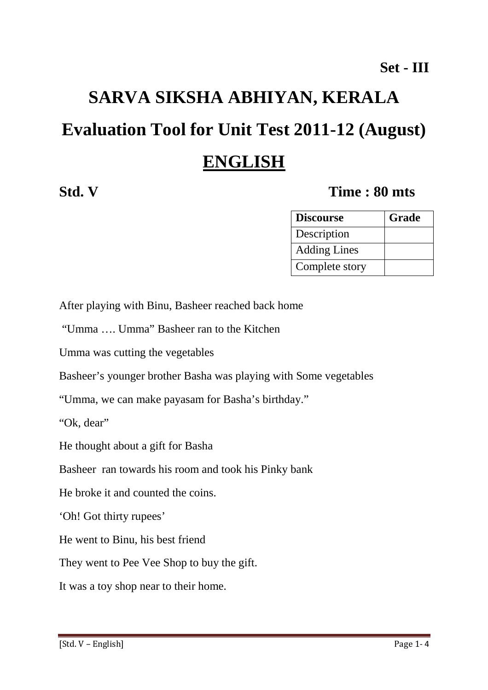# **SARVA SIKSHA ABHIYAN, KERALA Evaluation Tool for Unit Test 2011-12 (August) ENGLISH**

### **Std. V Time : 80 mts**

| <b>Discourse</b>    | Grade |
|---------------------|-------|
| Description         |       |
| <b>Adding Lines</b> |       |
| Complete story      |       |

After playing with Binu, Basheer reached back home

"Umma …. Umma" Basheer ran to the Kitchen

Umma was cutting the vegetables

Basheer's younger brother Basha was playing with Some vegetables

"Umma, we can make payasam for Basha's birthday."

"Ok, dear"

He thought about a gift for Basha

Basheer ran towards his room and took his Pinky bank

He broke it and counted the coins.

'Oh! Got thirty rupees'

He went to Binu, his best friend

They went to Pee Vee Shop to buy the gift.

It was a toy shop near to their home.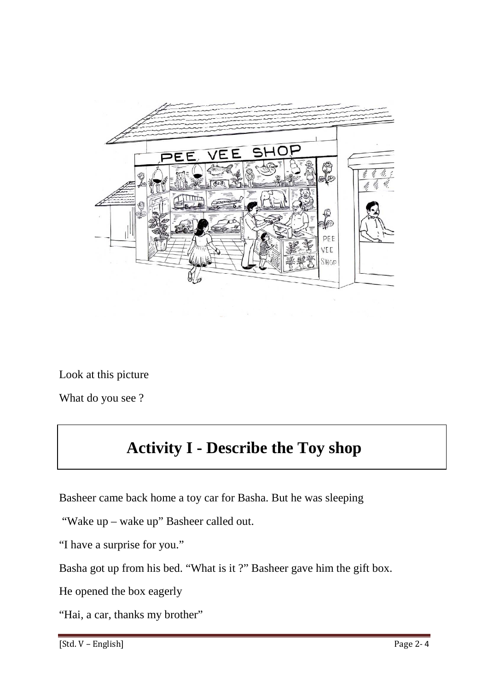

Look at this picture

What do you see ?

# **Activity I - Describe the Toy shop**

Basheer came back home a toy car for Basha. But he was sleeping

"Wake up – wake up" Basheer called out.

"I have a surprise for you."

Basha got up from his bed. "What is it ?" Basheer gave him the gift box.

He opened the box eagerly

"Hai, a car, thanks my brother"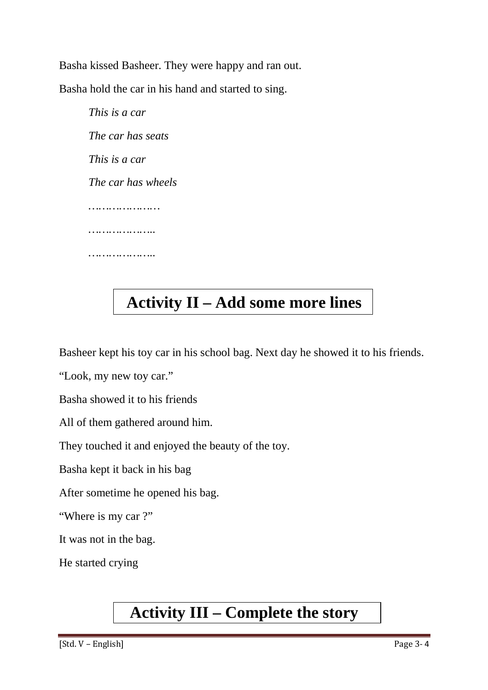Basha kissed Basheer. They were happy and ran out.

Basha hold the car in his hand and started to sing.

*This is a car The car has seats This is a car The car has wheels ………………… ……………….. ………………..* 

# **Activity II – Add some more lines**

Basheer kept his toy car in his school bag. Next day he showed it to his friends.

"Look, my new toy car."

Basha showed it to his friends

All of them gathered around him.

They touched it and enjoyed the beauty of the toy.

Basha kept it back in his bag

After sometime he opened his bag.

"Where is my car ?"

It was not in the bag.

He started crying

## **Activity III – Complete the story**